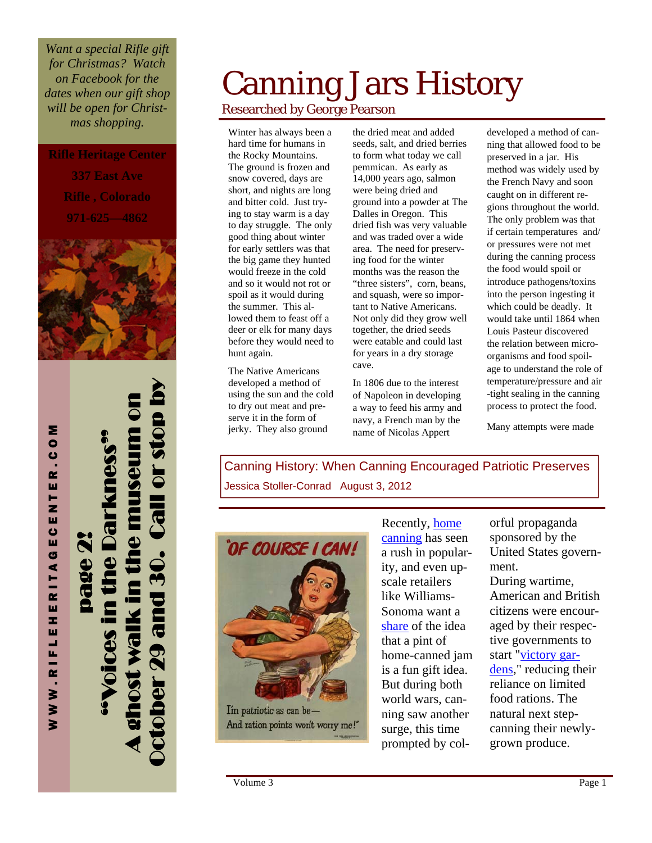*Want a special Rifle gift for Christmas? Watch on Facebook for the dates when our gift shop will be open for Christmas shopping.* 

**Rifle Heritage Center** 

**337 East Ave Rifle , Colorado 971-625—4862** 



October 29 and 30. Call or stop by A ghost walk in the museum on **0003** "Voices in the Darkness" **Dall Or** page 2! age **29 and 30** walk in

WWW.RIFLEHERITAGECENTER.COM

WWW.RIFLEHERITAGECENTER.CO

Σ

## Canning Jars History Researched by George Pearson

Winter has always been a hard time for humans in the Rocky Mountains. The ground is frozen and snow covered, days are short, and nights are long and bitter cold. Just trying to stay warm is a day to day struggle. The only good thing about winter for early settlers was that the big game they hunted would freeze in the cold and so it would not rot or spoil as it would during the summer. This allowed them to feast off a deer or elk for many days before they would need to hunt again.

The Native Americans developed a method of using the sun and the cold to dry out meat and preserve it in the form of jerky. They also ground

the dried meat and added seeds, salt, and dried berries to form what today we call pemmican. As early as 14,000 years ago, salmon were being dried and ground into a powder at The Dalles in Oregon. This dried fish was very valuable and was traded over a wide area. The need for preserving food for the winter months was the reason the "three sisters", corn, beans, and squash, were so important to Native Americans. Not only did they grow well together, the dried seeds were eatable and could last for years in a dry storage cave.

In 1806 due to the interest of Napoleon in developing a way to feed his army and navy, a French man by the name of Nicolas Appert

developed a method of canning that allowed food to be preserved in a jar. His method was widely used by the French Navy and soon caught on in different regions throughout the world. The only problem was that if certain temperatures and/ or pressures were not met during the canning process the food would spoil or introduce pathogens/toxins into the person ingesting it which could be deadly. It would take until 1864 when Louis Pasteur discovered the relation between microorganisms and food spoilage to understand the role of temperature/pressure and air -tight sealing in the canning process to protect the food.

Many attempts were made

Canning History: When Canning Encouraged Patriotic Preserves Jessica Stoller-Conrad August 3, 2012



Recently, [home](http://www.npr.org/blogs/health/2011/08/13/139580554/dont-get-in-a-pickle-learn-to-can-food-safely)  [canning](http://www.npr.org/blogs/health/2011/08/13/139580554/dont-get-in-a-pickle-learn-to-can-food-safely) has seen a rush in popularity, and even upscale retailers like Williams-Sonoma want a [share](http://www.williams-sonoma.com/shop/agrarian-garden/agrarian-canning-preserving/?cm_sp=SupCatHero-_-Agrarian-_-CanningPreserving) of the idea that a pint of home-canned jam is a fun gift idea. But during both world wars, canning saw another surge, this time prompted by colorful propaganda sponsored by the United States government.

During wartime, American and British citizens were encouraged by their respective governments to start ["victory gar](http://americanhistory.si.edu/house/yourvisit/victorygarden.asp)[dens](http://americanhistory.si.edu/house/yourvisit/victorygarden.asp)," reducing their reliance on limited food rations. The natural next stepcanning their newlygrown produce.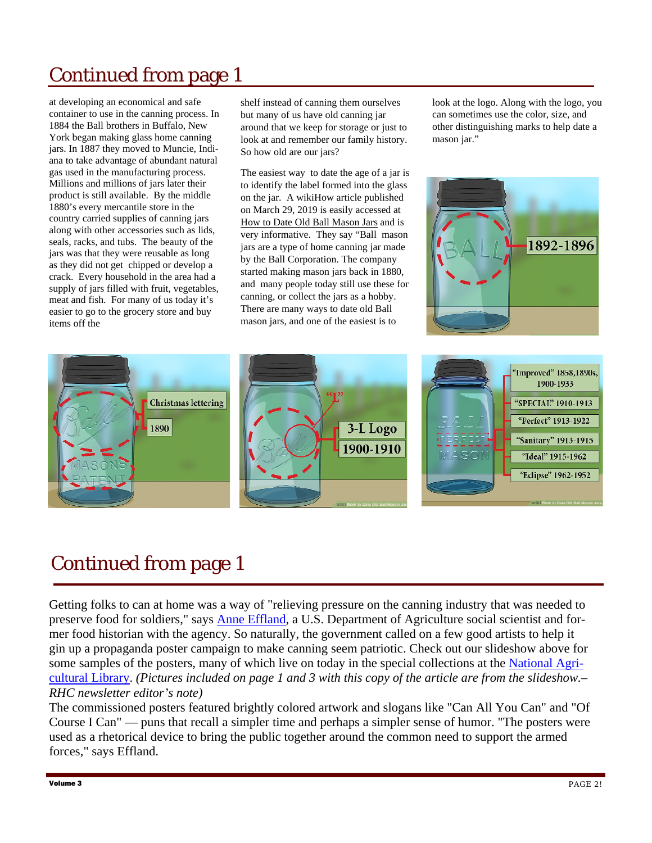### Continued from page 1

at developing an economical and safe container to use in the canning process. In 1884 the Ball brothers in Buffalo, New York began making glass home canning jars. In 1887 they moved to Muncie, Indiana to take advantage of abundant natural gas used in the manufacturing process. Millions and millions of jars later their product is still available. By the middle 1880's every mercantile store in the country carried supplies of canning jars along with other accessories such as lids, seals, racks, and tubs. The beauty of the jars was that they were reusable as long as they did not get chipped or develop a crack. Every household in the area had a supply of jars filled with fruit, vegetables, meat and fish. For many of us today it's easier to go to the grocery store and buy items off the

shelf instead of canning them ourselves but many of us have old canning jar around that we keep for storage or just to look at and remember our family history. So how old are our jars?

The easiest way to date the age of a jar is to identify the label formed into the glass on the jar. A wikiHow article published on March 29, 2019 is easily accessed at How to Date Old Ball Mason Jars and is very informative. They say "Ball mason jars are a type of home canning jar made by the Ball Corporation. The company started making mason jars back in 1880, and many people today still use these for canning, or collect the jars as a hobby. There are many ways to date old Ball mason jars, and one of the easiest is to

look at the logo. Along with the logo, you can sometimes use the color, size, and other distinguishing marks to help date a mason jar."





#### Continued from page 1

Getting folks to can at home was a way of "relieving pressure on the canning industry that was needed to preserve food for soldiers," says **[Anne Effland](http://www.fas.usda.gov/itp/agpolicy_conf_Jan2010_bios.asp)**, a U.S. Department of Agriculture social scientist and former food historian with the agency. So naturally, the government called on a few good artists to help it gin up a propaganda poster campaign to make canning seem patriotic. Check out our slideshow above for some samples of the posters, many of which live on today in the special collections at the [National Agri](http://www.nal.usda.gov/)[cultural Library](http://www.nal.usda.gov/). *(Pictures included on page 1 and 3 with this copy of the article are from the slideshow.– RHC newsletter editor's note)* 

The commissioned posters featured brightly colored artwork and slogans like "Can All You Can" and "Of Course I Can" — puns that recall a simpler time and perhaps a simpler sense of humor. "The posters were used as a rhetorical device to bring the public together around the common need to support the armed forces," says Effland.